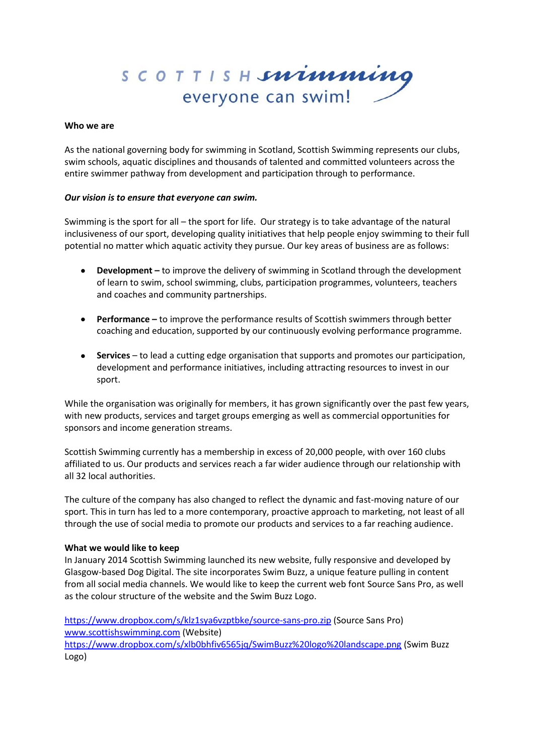SCOTTISH**snimming** everyone can swim!

### **Who we are**

As the national governing body for swimming in Scotland, Scottish Swimming represents our clubs, swim schools, aquatic disciplines and thousands of talented and committed volunteers across the entire swimmer pathway from development and participation through to performance.

## *Our vision is to ensure that everyone can swim.*

Swimming is the sport for all – the sport for life. Our strategy is to take advantage of the natural inclusiveness of our sport, developing quality initiatives that help people enjoy swimming to their full potential no matter which aquatic activity they pursue. Our key areas of business are as follows:

- **Development –** to improve the delivery of swimming in Scotland through the development of learn to swim, school swimming, clubs, participation programmes, volunteers, teachers and coaches and community partnerships.
- **Performance –** to improve the performance results of Scottish swimmers through better coaching and education, supported by our continuously evolving performance programme.
- **Services** to lead a cutting edge organisation that supports and promotes our participation, development and performance initiatives, including attracting resources to invest in our sport.

While the organisation was originally for members, it has grown significantly over the past few years, with new products, services and target groups emerging as well as commercial opportunities for sponsors and income generation streams.

Scottish Swimming currently has a membership in excess of 20,000 people, with over 160 clubs affiliated to us. Our products and services reach a far wider audience through our relationship with all 32 local authorities.

The culture of the company has also changed to reflect the dynamic and fast-moving nature of our sport. This in turn has led to a more contemporary, proactive approach to marketing, not least of all through the use of social media to promote our products and services to a far reaching audience.

### **What we would like to keep**

In January 2014 Scottish Swimming launched its new website, fully responsive and developed by Glasgow-based Dog Digital. The site incorporates Swim Buzz, a unique feature pulling in content from all social media channels. We would like to keep the current web font Source Sans Pro, as well as the colour structure of the website and the Swim Buzz Logo.

<https://www.dropbox.com/s/klz1sya6vzptbke/source-sans-pro.zip> (Source Sans Pro) [www.scottishswimming.com](http://www.scottishswimming.com/) (Website)

<https://www.dropbox.com/s/xlb0bhfiv6565jq/SwimBuzz%20logo%20landscape.png> (Swim Buzz Logo)